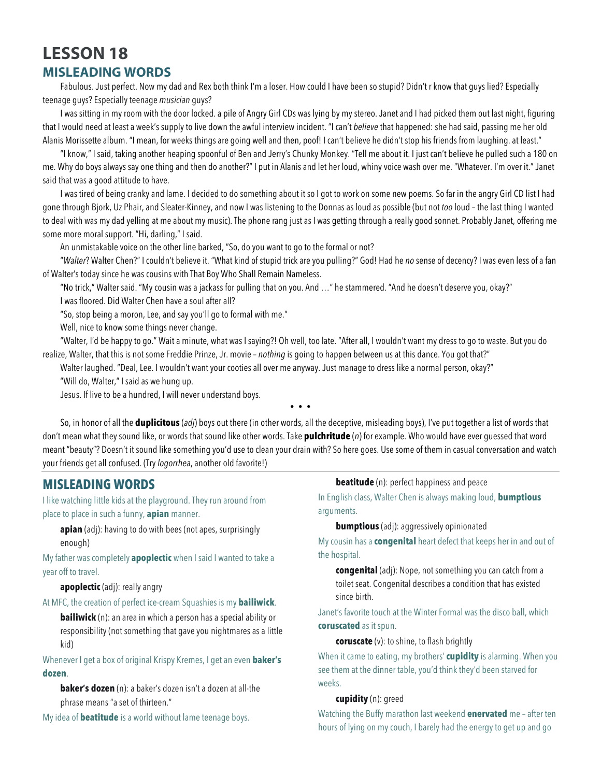# **LESSON 18 MISLEADING WORDS**

Fabulous. Just perfect. Now my dad and Rex both think I'm a loser. How could I have been so stupid? Didn't r know that guys lied? Especially teenage guys? Especially teenage *musician* guys?

I was sitting in my room with the door locked. a pile of Angry Girl CDs was lying by my stereo. Janet and I had picked them out last night, figuring that I would need at least a week's supply to live down the awful interview incident. "I can't *believe* that happened: she had said, passing me her old Alanis Morissette album. "I mean, for weeks things are going well and then, poof! I can't believe he didn't stop his friends from laughing. at least."

"I know," I said, taking another heaping spoonful of Ben and Jerry's Chunky Monkey. "Tell me about it. I just can't believe he pulled such a 180 on me. Why do boys always say one thing and then do another?" I put in Alanis and let her loud, whiny voice wash over me. "Whatever. I'm over it." Janet said that was a good attitude to have.

I was tired of being cranky and lame. I decided to do something about it so I got to work on some new poems. So far in the angry Girl CD list I had gone through Bjork, Uz Phair, and Sleater-Kinney, and now I was listening to the Donnas as loud as possible (but not *too* loud – the last thing I wanted to deal with was my dad yelling at me about my music). The phone rang just as I was getting through a really good sonnet. Probably Janet, offering me some more moral support. "Hi, darling," I said.

An unmistakable voice on the other line barked, "So, do you want to go to the formal or not?

"*Walter*? Walter Chen?" I couldn't believe it. "What kind of stupid trick are you pulling?" God! Had he *no* sense of decency? I was even less of a fan of Walter's today since he was cousins with That Boy Who Shall Remain Nameless.

"No trick," Walter said. "My cousin was a jackass for pulling that on you. And …" he stammered. "And he doesn't deserve you, okay?"

I was floored. Did Walter Chen have a soul after all?

"So, stop being a moron, Lee, and say you'll go to formal with me."

Well, nice to know some things never change.

"Walter, I'd be happy to go." Wait a minute, what was I saying?! Oh well, too late. "After all, I wouldn't want my dress to go to waste. But you do realize, Walter, that this is not some Freddie Prinze, Jr. movie – *nothing* is going to happen between us at this dance. You got that?"

Walter laughed. "Deal, Lee. I wouldn't want your cooties all over me anyway. Just manage to dress like a normal person, okay?" "Will do, Walter," I said as we hung up.

Jesus. If live to be a hundred, I will never understand boys.

• • •

So, in honor of all the **duplicitous** (*adj*) boys out there (in other words, all the deceptive, misleading boys), I've put together a list of words that don't mean what they sound like, or words that sound like other words. Take **pulchritude** (*n*) for example. Who would have ever guessed that word meant "beauty"? Doesn't it sound like something you'd use to clean your drain with? So here goes. Use some of them in casual conversation and watch your friends get all confused. (Try *logorrhea*, another old favorite!)

# **MISLEADING WORDS**

I like watching little kids at the playground. They run around from place to place in such a funny, **apian** manner.

**apian** (adj): having to do with bees (not apes, surprisingly enough)

My father was completely **apoplectic** when I said I wanted to take a year off to travel.

**apoplectic** (adj): really angry

At MFC, the creation of perfect ice-cream Squashies is my **bailiwick**.

**bailiwick** (n): an area in which a person has a special ability or responsibility (not something that gave you nightmares as a little kid)

Whenever I get a box of original Krispy Kremes, I get an even **baker's dozen**.

**baker's dozen** (n): a baker's dozen isn't a dozen at all-the phrase means "a set of thirteen."

My idea of **beatitude** is a world without lame teenage boys.

**beatitude** (n): perfect happiness and peace

In English class, Walter Chen is always making loud, **bumptious** arguments.

**bumptious** (adj): aggressively opinionated

My cousin has a **congenital** heart defect that keeps her in and out of the hospital.

**congenital** (adj): Nope, not something you can catch from a toilet seat. Congenital describes a condition that has existed since birth.

Janet's favorite touch at the Winter Formal was the disco ball, which **coruscated** as it spun.

**coruscate** (v): to shine, to flash brightly

When it came to eating, my brothers' **cupidity** is alarming. When you see them at the dinner table, you'd think they'd been starved for weeks.

# **cupidity** (n): greed

Watching the Buffy marathon last weekend **enervated** me – after ten hours of lying on my couch, I barely had the energy to get up and go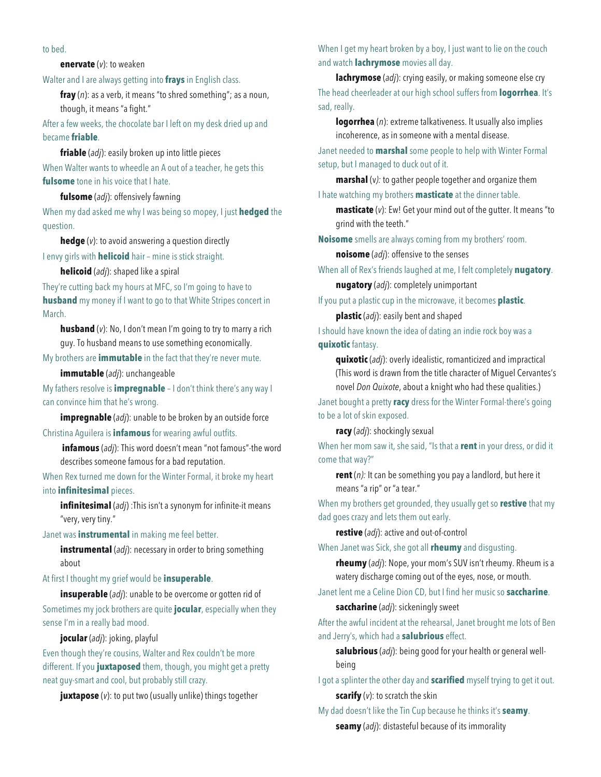# to bed.

# **enervate** (*v*): to weaken

Walter and I are always getting into **frays** in English class.

**fray** (*n*): as a verb, it means "to shred something"; as a noun, though, it means "a fight."

After a few weeks, the chocolate bar I left on my desk dried up and became **friable**.

### **friable** (*adj*): easily broken up into little pieces

When Walter wants to wheedle an A out of a teacher, he gets this **fulsome** tone in his voice that I hate.

#### **fulsome** (*adj*): offensively fawning

When my dad asked me why I was being so mopey, I just **hedged** the question.

**hedge** (*v*): to avoid answering a question directly

I envy girls with **helicoid** hair – mine is stick straight.

#### **helicoid** (*adj*): shaped like a spiral

They're cutting back my hours at MFC, so I'm going to have to **husband** my money if I want to go to that White Stripes concert in March.

**husband** (*v*): No, I don't mean I'm going to try to marry a rich guy. To husband means to use something economically.

My brothers are **immutable** in the fact that they're never mute.

**immutable** (*adj*): unchangeable

My fathers resolve is **impregnable** – I don't think there's any way I can convince him that he's wrong.

**impregnable** (*adj*): unable to be broken by an outside force

# Christina Aguilera is **infamous** for wearing awful outfits.

**infamous** (*adj*): This word doesn't mean "not famous"-the word describes someone famous for a bad reputation.

When Rex turned me down for the Winter Formal, it broke my heart into **infinitesimal** pieces.

**infinitesimal** (*adj*) :This isn't a synonym for infinite-it means "very, very tiny."

Janet was **instrumental** in making me feel better.

**instrumental** (*adj*): necessary in order to bring something about

# At first I thought my grief would be **insuperable**.

**insuperable** (*adj*): unable to be overcome or gotten rid of Sometimes my jock brothers are quite **jocular**, especially when they sense I'm in a really bad mood.

**jocular** (*adj*): joking, playful

Even though they're cousins, Walter and Rex couldn't be more different. If you **juxtaposed** them, though, you might get a pretty neat guy-smart and cool, but probably still crazy.

**juxtapose** (*v*): to put two (usually unlike) things together

When I get my heart broken by a boy, I just want to lie on the couch and watch **lachrymose** movies all day.

**lachrymose** (*adj*): crying easily, or making someone else cry The head cheerleader at our high school suffers from **logorrhea**. It's sad, really.

**logorrhea** (*n*): extreme talkativeness. It usually also implies incoherence, as in someone with a mental disease.

Janet needed to **marshal** some people to help with Winter Formal setup, but I managed to duck out of it.

**marshal** (v*):* to gather people together and organize them I hate watching my brothers **masticate** at the dinner table.

**masticate** (*v*): Ew! Get your mind out of the gutter. It means "to grind with the teeth."

**Noisome** smells are always coming from my brothers' room.

**noisome** (*adj*): offensive to the senses

When all of Rex's friends laughed at me, I felt completely **nugatory**.

# **nugatory** (*adj*): completely unimportant

If you put a plastic cup in the microwave, it becomes **plastic**.

**plastic** (*adj*): easily bent and shaped

I should have known the idea of dating an indie rock boy was a **quixotic** fantasy.

**quixotic** (*adj*): overly idealistic, romanticized and impractical (This word is drawn from the title character of Miguel Cervantes's novel *Don Quixote*, about a knight who had these qualities.)

Janet bought a pretty **racy** dress for the Winter Formal-there's going to be a lot of skin exposed.

# **racy** (*adj*): shockingly sexual

When her mom saw it, she said, "Is that a **rent** in your dress, or did it come that way?"

**rent** (*n):* It can be something you pay a landlord, but here it means "a rip" or "a tear."

When my brothers get grounded, they usually get so **restive** that my dad goes crazy and lets them out early.

**restive** (*adj*): active and out-of-control

When Janet was Sick, she got all **rheumy** and disgusting.

**rheumy** (*adj*): Nope, your mom's SUV isn't rheumy. Rheum is a watery discharge coming out of the eyes, nose, or mouth.

Janet lent me a Celine Dion CD, but I find her music so **saccharine**.

# **saccharine** (*adj*): sickeningly sweet

After the awful incident at the rehearsal, Janet brought me lots of Ben and Jerry's, which had a **salubrious** effect.

**salubrious** (*adj*): being good for your health or general wellbeing

I got a splinter the other day and **scarified** myself trying to get it out. **scarify** (*v*): to scratch the skin

My dad doesn't like the Tin Cup because he thinks it's **seamy**. **seamy** (*adj*): distasteful because of its immorality